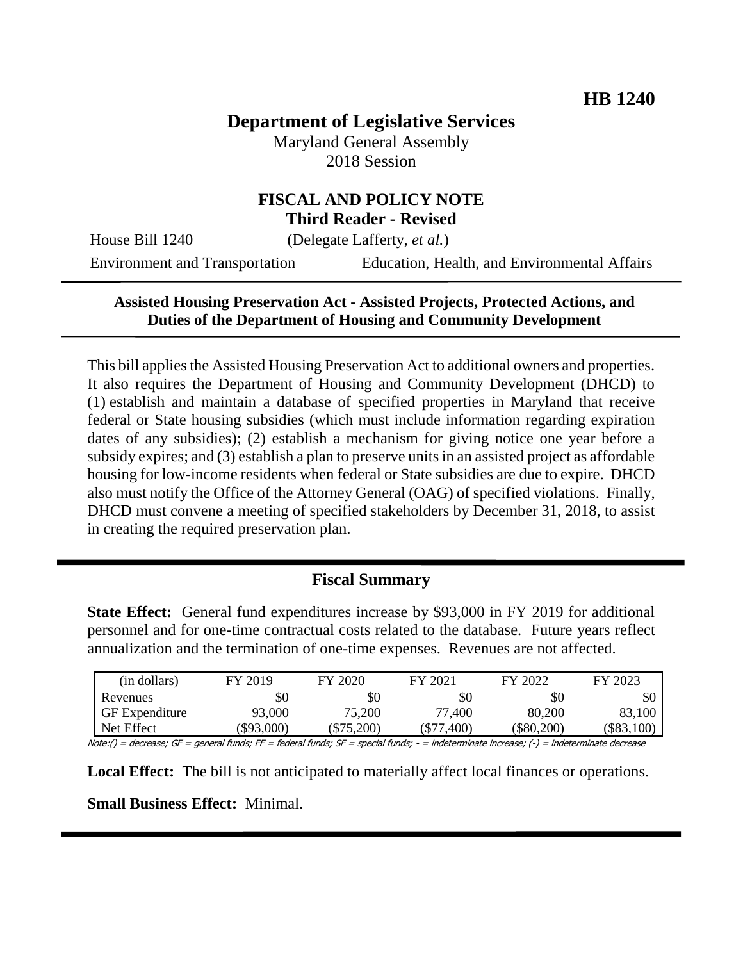# **Department of Legislative Services**

Maryland General Assembly 2018 Session

#### **FISCAL AND POLICY NOTE Third Reader - Revised**

House Bill 1240 (Delegate Lafferty, *et al.*)

Environment and Transportation Education, Health, and Environmental Affairs

#### **Assisted Housing Preservation Act - Assisted Projects, Protected Actions, and Duties of the Department of Housing and Community Development**

This bill applies the Assisted Housing Preservation Act to additional owners and properties. It also requires the Department of Housing and Community Development (DHCD) to (1) establish and maintain a database of specified properties in Maryland that receive federal or State housing subsidies (which must include information regarding expiration dates of any subsidies); (2) establish a mechanism for giving notice one year before a subsidy expires; and (3) establish a plan to preserve units in an assisted project as affordable housing for low-income residents when federal or State subsidies are due to expire. DHCD also must notify the Office of the Attorney General (OAG) of specified violations. Finally, DHCD must convene a meeting of specified stakeholders by December 31, 2018, to assist in creating the required preservation plan.

## **Fiscal Summary**

**State Effect:** General fund expenditures increase by \$93,000 in FY 2019 for additional personnel and for one-time contractual costs related to the database. Future years reflect annualization and the termination of one-time expenses. Revenues are not affected.

| (in dollars)          | FY 2019  | FY 2020    | FY 2021      | FY 2022  | FY 2023  |
|-----------------------|----------|------------|--------------|----------|----------|
| Revenues              | \$0      | \$0        | \$0          | \$0      | эU       |
| <b>GF</b> Expenditure | 93,000   | 75,200     | 77,400       | 80,200   | 83,100   |
| Net Effect            | \$93,000 | $\$75,200$ | $(\$77,400)$ | \$80,200 | \$83,100 |

Note:() = decrease; GF = general funds; FF = federal funds; SF = special funds; - = indeterminate increase; (-) = indeterminate decrease

**Local Effect:** The bill is not anticipated to materially affect local finances or operations.

**Small Business Effect:** Minimal.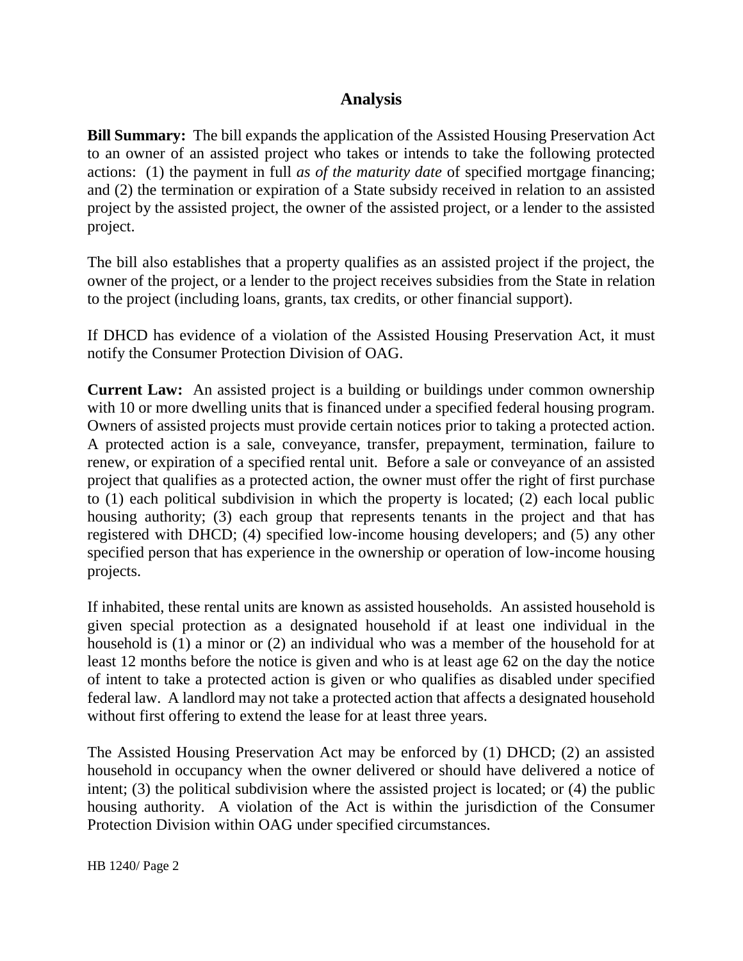## **Analysis**

**Bill Summary:** The bill expands the application of the Assisted Housing Preservation Act to an owner of an assisted project who takes or intends to take the following protected actions: (1) the payment in full *as of the maturity date* of specified mortgage financing; and (2) the termination or expiration of a State subsidy received in relation to an assisted project by the assisted project, the owner of the assisted project, or a lender to the assisted project.

The bill also establishes that a property qualifies as an assisted project if the project, the owner of the project, or a lender to the project receives subsidies from the State in relation to the project (including loans, grants, tax credits, or other financial support).

If DHCD has evidence of a violation of the Assisted Housing Preservation Act, it must notify the Consumer Protection Division of OAG.

**Current Law:** An assisted project is a building or buildings under common ownership with 10 or more dwelling units that is financed under a specified federal housing program. Owners of assisted projects must provide certain notices prior to taking a protected action. A protected action is a sale, conveyance, transfer, prepayment, termination, failure to renew, or expiration of a specified rental unit. Before a sale or conveyance of an assisted project that qualifies as a protected action, the owner must offer the right of first purchase to (1) each political subdivision in which the property is located; (2) each local public housing authority; (3) each group that represents tenants in the project and that has registered with DHCD; (4) specified low-income housing developers; and (5) any other specified person that has experience in the ownership or operation of low-income housing projects.

If inhabited, these rental units are known as assisted households. An assisted household is given special protection as a designated household if at least one individual in the household is (1) a minor or (2) an individual who was a member of the household for at least 12 months before the notice is given and who is at least age 62 on the day the notice of intent to take a protected action is given or who qualifies as disabled under specified federal law. A landlord may not take a protected action that affects a designated household without first offering to extend the lease for at least three years.

The Assisted Housing Preservation Act may be enforced by (1) DHCD; (2) an assisted household in occupancy when the owner delivered or should have delivered a notice of intent; (3) the political subdivision where the assisted project is located; or (4) the public housing authority. A violation of the Act is within the jurisdiction of the Consumer Protection Division within OAG under specified circumstances.